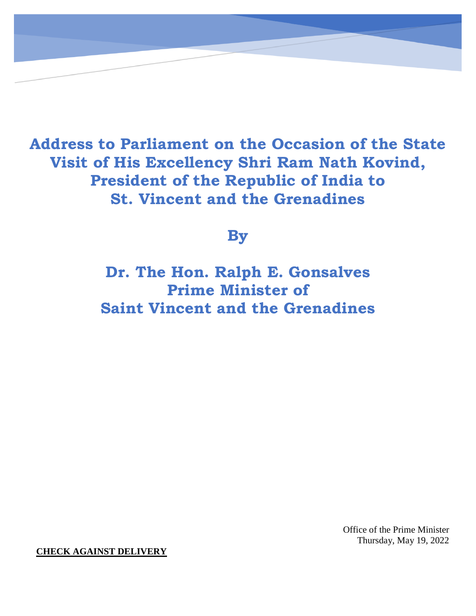**Address to Parliament on the Occasion of the State Visit of His Excellency Shri Ram Nath Kovind, President of the Republic of India to St. Vincent and the Grenadines**

**By**

**Dr. The Hon. Ralph E. Gonsalves Prime Minister of Saint Vincent and the Grenadines**

> Office of the Prime Minister Thursday, May 19, 2022

**CHECK AGAINST DELIVERY**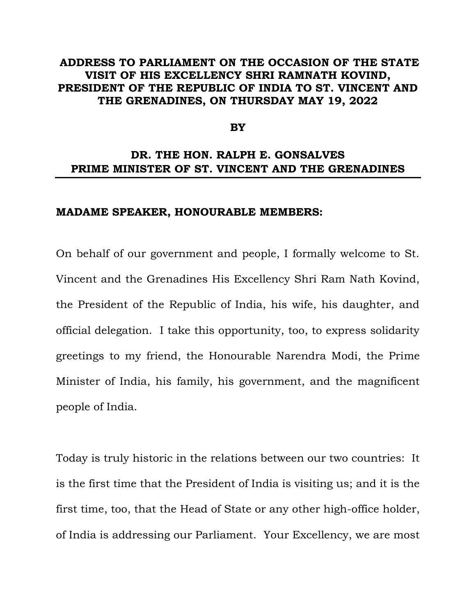## **ADDRESS TO PARLIAMENT ON THE OCCASION OF THE STATE VISIT OF HIS EXCELLENCY SHRI RAMNATH KOVIND, PRESIDENT OF THE REPUBLIC OF INDIA TO ST. VINCENT AND THE GRENADINES, ON THURSDAY MAY 19, 2022**

## **BY**

## **DR. THE HON. RALPH E. GONSALVES PRIME MINISTER OF ST. VINCENT AND THE GRENADINES**

## **MADAME SPEAKER, HONOURABLE MEMBERS:**

On behalf of our government and people, I formally welcome to St. Vincent and the Grenadines His Excellency Shri Ram Nath Kovind, the President of the Republic of India, his wife, his daughter, and official delegation. I take this opportunity, too, to express solidarity greetings to my friend, the Honourable Narendra Modi, the Prime Minister of India, his family, his government, and the magnificent people of India.

Today is truly historic in the relations between our two countries: It is the first time that the President of India is visiting us; and it is the first time, too, that the Head of State or any other high-office holder, of India is addressing our Parliament. Your Excellency, we are most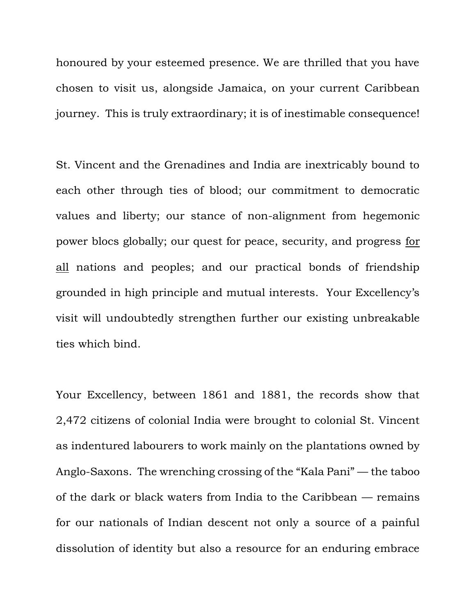honoured by your esteemed presence. We are thrilled that you have chosen to visit us, alongside Jamaica, on your current Caribbean journey. This is truly extraordinary; it is of inestimable consequence!

St. Vincent and the Grenadines and India are inextricably bound to each other through ties of blood; our commitment to democratic values and liberty; our stance of non-alignment from hegemonic power blocs globally; our quest for peace, security, and progress for all nations and peoples; and our practical bonds of friendship grounded in high principle and mutual interests. Your Excellency's visit will undoubtedly strengthen further our existing unbreakable ties which bind.

Your Excellency, between 1861 and 1881, the records show that 2,472 citizens of colonial India were brought to colonial St. Vincent as indentured labourers to work mainly on the plantations owned by Anglo-Saxons. The wrenching crossing of the "Kala Pani" — the taboo of the dark or black waters from India to the Caribbean — remains for our nationals of Indian descent not only a source of a painful dissolution of identity but also a resource for an enduring embrace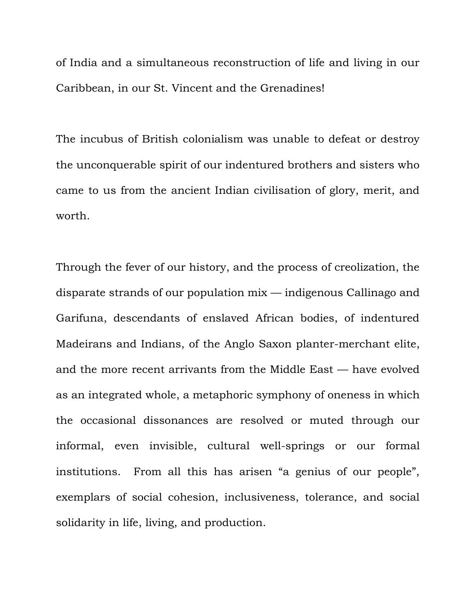of India and a simultaneous reconstruction of life and living in our Caribbean, in our St. Vincent and the Grenadines!

The incubus of British colonialism was unable to defeat or destroy the unconquerable spirit of our indentured brothers and sisters who came to us from the ancient Indian civilisation of glory, merit, and worth.

Through the fever of our history, and the process of creolization, the disparate strands of our population mix — indigenous Callinago and Garifuna, descendants of enslaved African bodies, of indentured Madeirans and Indians, of the Anglo Saxon planter-merchant elite, and the more recent arrivants from the Middle East — have evolved as an integrated whole, a metaphoric symphony of oneness in which the occasional dissonances are resolved or muted through our informal, even invisible, cultural well-springs or our formal institutions. From all this has arisen "a genius of our people", exemplars of social cohesion, inclusiveness, tolerance, and social solidarity in life, living, and production.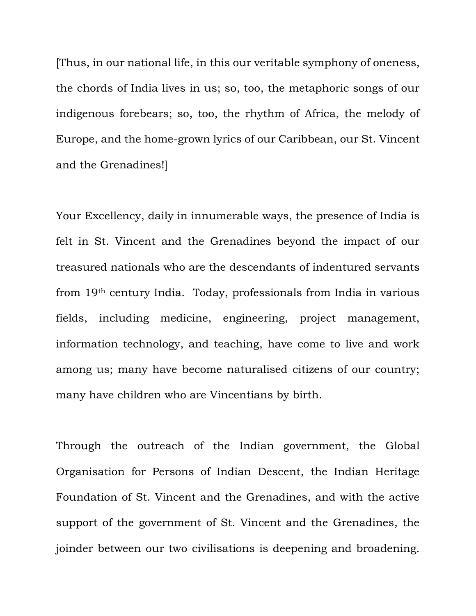[Thus, in our national life, in this our veritable symphony of oneness, the chords of India lives in us; so, too, the metaphoric songs of our indigenous forebears; so, too, the rhythm of Africa, the melody of Europe, and the home-grown lyrics of our Caribbean, our St. Vincent and the Grenadines!]

Your Excellency, daily in innumerable ways, the presence of India is felt in St. Vincent and the Grenadines beyond the impact of our treasured nationals who are the descendants of indentured servants from 19th century India. Today, professionals from India in various fields, including medicine, engineering, project management, information technology, and teaching, have come to live and work among us; many have become naturalised citizens of our country; many have children who are Vincentians by birth.

Through the outreach of the Indian government, the Global Organisation for Persons of Indian Descent, the Indian Heritage Foundation of St. Vincent and the Grenadines, and with the active support of the government of St. Vincent and the Grenadines, the joinder between our two civilisations is deepening and broadening.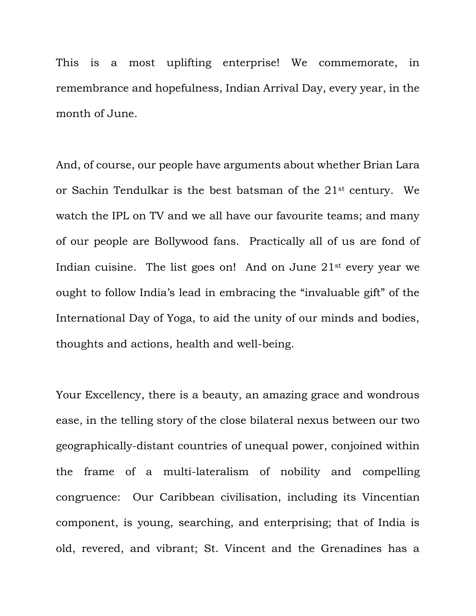This is a most uplifting enterprise! We commemorate, in remembrance and hopefulness, Indian Arrival Day, every year, in the month of June.

And, of course, our people have arguments about whether Brian Lara or Sachin Tendulkar is the best batsman of the 21st century. We watch the IPL on TV and we all have our favourite teams; and many of our people are Bollywood fans. Practically all of us are fond of Indian cuisine. The list goes on! And on June 21st every year we ought to follow India's lead in embracing the "invaluable gift" of the International Day of Yoga, to aid the unity of our minds and bodies, thoughts and actions, health and well-being.

Your Excellency, there is a beauty, an amazing grace and wondrous ease, in the telling story of the close bilateral nexus between our two geographically-distant countries of unequal power, conjoined within the frame of a multi-lateralism of nobility and compelling congruence: Our Caribbean civilisation, including its Vincentian component, is young, searching, and enterprising; that of India is old, revered, and vibrant; St. Vincent and the Grenadines has a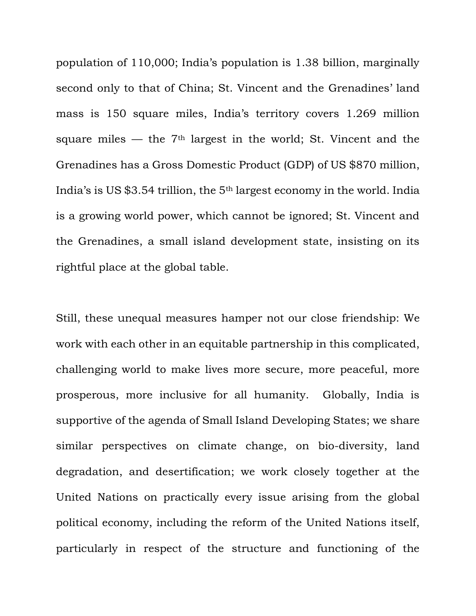population of 110,000; India's population is 1.38 billion, marginally second only to that of China; St. Vincent and the Grenadines' land mass is 150 square miles, India's territory covers 1.269 million square miles — the  $7<sup>th</sup>$  largest in the world; St. Vincent and the Grenadines has a Gross Domestic Product (GDP) of US \$870 million, India's is US \$3.54 trillion, the 5th largest economy in the world. India is a growing world power, which cannot be ignored; St. Vincent and the Grenadines, a small island development state, insisting on its rightful place at the global table.

Still, these unequal measures hamper not our close friendship: We work with each other in an equitable partnership in this complicated, challenging world to make lives more secure, more peaceful, more prosperous, more inclusive for all humanity. Globally, India is supportive of the agenda of Small Island Developing States; we share similar perspectives on climate change, on bio-diversity, land degradation, and desertification; we work closely together at the United Nations on practically every issue arising from the global political economy, including the reform of the United Nations itself, particularly in respect of the structure and functioning of the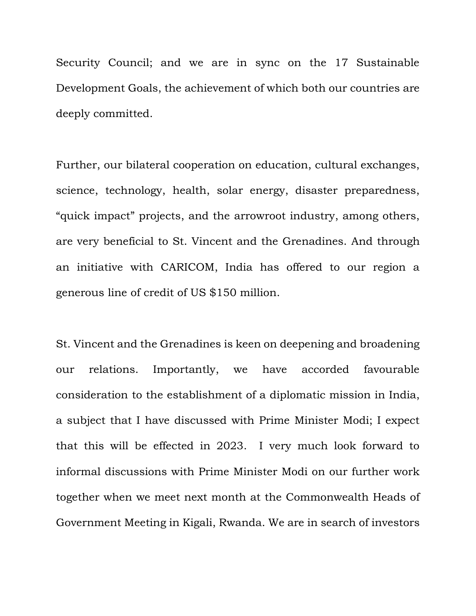Security Council; and we are in sync on the 17 Sustainable Development Goals, the achievement of which both our countries are deeply committed.

Further, our bilateral cooperation on education, cultural exchanges, science, technology, health, solar energy, disaster preparedness, "quick impact" projects, and the arrowroot industry, among others, are very beneficial to St. Vincent and the Grenadines. And through an initiative with CARICOM, India has offered to our region a generous line of credit of US \$150 million.

St. Vincent and the Grenadines is keen on deepening and broadening our relations. Importantly, we have accorded favourable consideration to the establishment of a diplomatic mission in India, a subject that I have discussed with Prime Minister Modi; I expect that this will be effected in 2023. I very much look forward to informal discussions with Prime Minister Modi on our further work together when we meet next month at the Commonwealth Heads of Government Meeting in Kigali, Rwanda. We are in search of investors